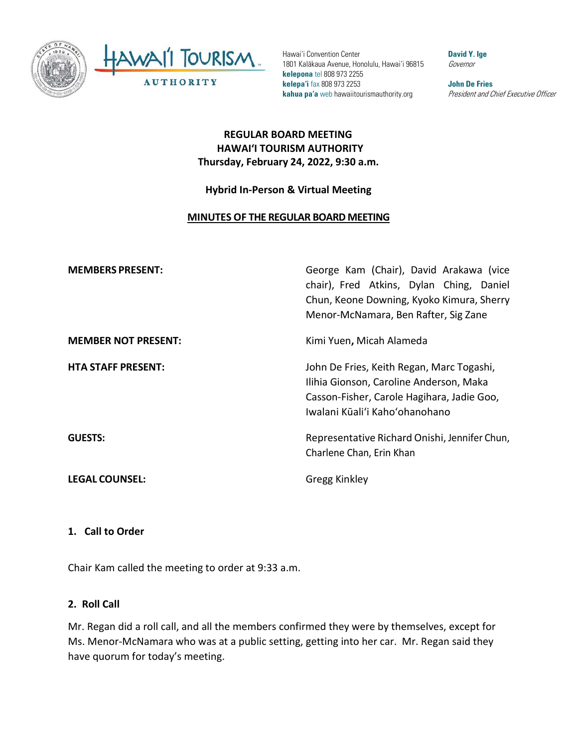

Hawai'i Convention Center 1801 Kalākaua Avenue, Honolulu, Hawai'i 96815 **kelepona** tel 808 973 2255 **kelepa'i** fax 808 973 2253 **kahua pa'a** web hawaiitourismauthority.org

**David Y. Ige** Governor

**John De Fries** President and Chief Executive Officer

### **REGULAR BOARD MEETING HAWAI'I TOURISM AUTHORITY Thursday, February 24, 2022, 9:30 a.m.**

### **Hybrid In-Person & Virtual Meeting**

#### **MINUTES OF THE REGULAR BOARD MEETING**

| <b>MEMBERS PRESENT:</b>    | George Kam (Chair), David Arakawa (vice<br>chair), Fred Atkins, Dylan Ching, Daniel<br>Chun, Keone Downing, Kyoko Kimura, Sherry<br>Menor-McNamara, Ben Rafter, Sig Zane |
|----------------------------|--------------------------------------------------------------------------------------------------------------------------------------------------------------------------|
| <b>MEMBER NOT PRESENT:</b> | Kimi Yuen, Micah Alameda                                                                                                                                                 |
| <b>HTA STAFF PRESENT:</b>  | John De Fries, Keith Regan, Marc Togashi,<br>Ilihia Gionson, Caroline Anderson, Maka<br>Casson-Fisher, Carole Hagihara, Jadie Goo,<br>Iwalani Kūali'i Kahoʻohanohano     |
| <b>GUESTS:</b>             | Representative Richard Onishi, Jennifer Chun,<br>Charlene Chan, Erin Khan                                                                                                |
| <b>LEGAL COUNSEL:</b>      | Gregg Kinkley                                                                                                                                                            |

#### **1. Call to Order**

Chair Kam called the meeting to order at 9:33 a.m.

#### **2. Roll Call**

Mr. Regan did a roll call, and all the members confirmed they were by themselves, except for Ms. Menor-McNamara who was at a public setting, getting into her car. Mr. Regan said they have quorum for today's meeting.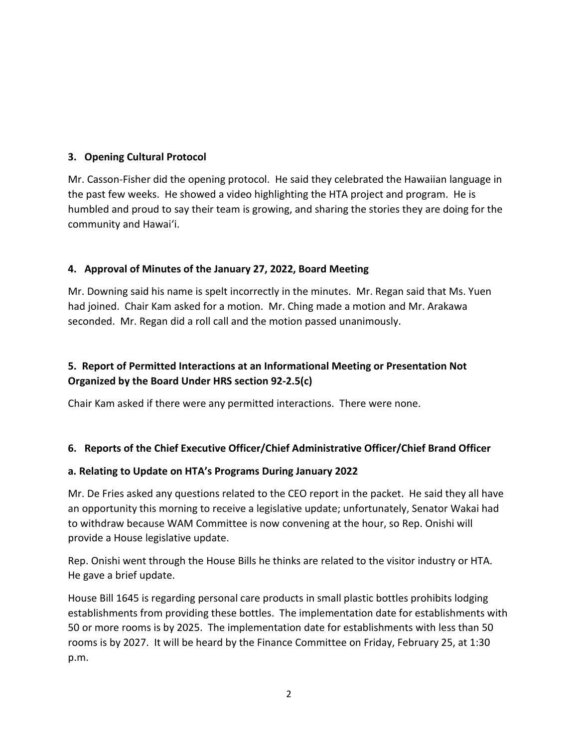### **3. Opening Cultural Protocol**

Mr. Casson-Fisher did the opening protocol. He said they celebrated the Hawaiian language in the past few weeks. He showed a video highlighting the HTA project and program. He is humbled and proud to say their team is growing, and sharing the stories they are doing for the community and Hawai'i.

### **4. Approval of Minutes of the January 27, 2022, Board Meeting**

Mr. Downing said his name is spelt incorrectly in the minutes. Mr. Regan said that Ms. Yuen had joined. Chair Kam asked for a motion. Mr. Ching made a motion and Mr. Arakawa seconded. Mr. Regan did a roll call and the motion passed unanimously.

# **5. Report of Permitted Interactions at an Informational Meeting or Presentation Not Organized by the Board Under HRS section 92-2.5(c)**

Chair Kam asked if there were any permitted interactions. There were none.

## **6. Reports of the Chief Executive Officer/Chief Administrative Officer/Chief Brand Officer**

### **a. Relating to Update on HTA's Programs During January 2022**

Mr. De Fries asked any questions related to the CEO report in the packet. He said they all have an opportunity this morning to receive a legislative update; unfortunately, Senator Wakai had to withdraw because WAM Committee is now convening at the hour, so Rep. Onishi will provide a House legislative update.

Rep. Onishi went through the House Bills he thinks are related to the visitor industry or HTA. He gave a brief update.

House Bill 1645 is regarding personal care products in small plastic bottles prohibits lodging establishments from providing these bottles. The implementation date for establishments with 50 or more rooms is by 2025. The implementation date for establishments with less than 50 rooms is by 2027. It will be heard by the Finance Committee on Friday, February 25, at 1:30 p.m.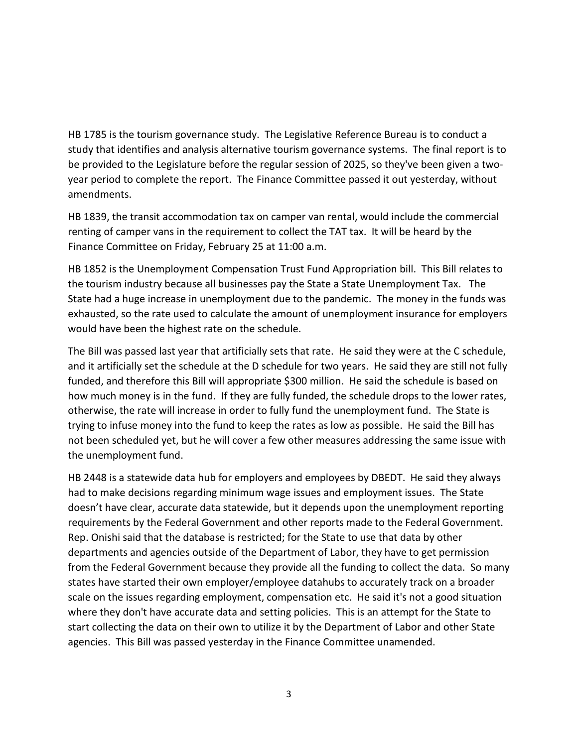HB 1785 is the tourism governance study. The Legislative Reference Bureau is to conduct a study that identifies and analysis alternative tourism governance systems. The final report is to be provided to the Legislature before the regular session of 2025, so they've been given a twoyear period to complete the report. The Finance Committee passed it out yesterday, without amendments.

HB 1839, the transit accommodation tax on camper van rental, would include the commercial renting of camper vans in the requirement to collect the TAT tax. It will be heard by the Finance Committee on Friday, February 25 at 11:00 a.m.

HB 1852 is the Unemployment Compensation Trust Fund Appropriation bill. This Bill relates to the tourism industry because all businesses pay the State a State Unemployment Tax. The State had a huge increase in unemployment due to the pandemic. The money in the funds was exhausted, so the rate used to calculate the amount of unemployment insurance for employers would have been the highest rate on the schedule.

The Bill was passed last year that artificially sets that rate. He said they were at the C schedule, and it artificially set the schedule at the D schedule for two years. He said they are still not fully funded, and therefore this Bill will appropriate \$300 million. He said the schedule is based on how much money is in the fund. If they are fully funded, the schedule drops to the lower rates, otherwise, the rate will increase in order to fully fund the unemployment fund. The State is trying to infuse money into the fund to keep the rates as low as possible. He said the Bill has not been scheduled yet, but he will cover a few other measures addressing the same issue with the unemployment fund.

HB 2448 is a statewide data hub for employers and employees by DBEDT. He said they always had to make decisions regarding minimum wage issues and employment issues. The State doesn't have clear, accurate data statewide, but it depends upon the unemployment reporting requirements by the Federal Government and other reports made to the Federal Government. Rep. Onishi said that the database is restricted; for the State to use that data by other departments and agencies outside of the Department of Labor, they have to get permission from the Federal Government because they provide all the funding to collect the data. So many states have started their own employer/employee datahubs to accurately track on a broader scale on the issues regarding employment, compensation etc. He said it's not a good situation where they don't have accurate data and setting policies. This is an attempt for the State to start collecting the data on their own to utilize it by the Department of Labor and other State agencies. This Bill was passed yesterday in the Finance Committee unamended.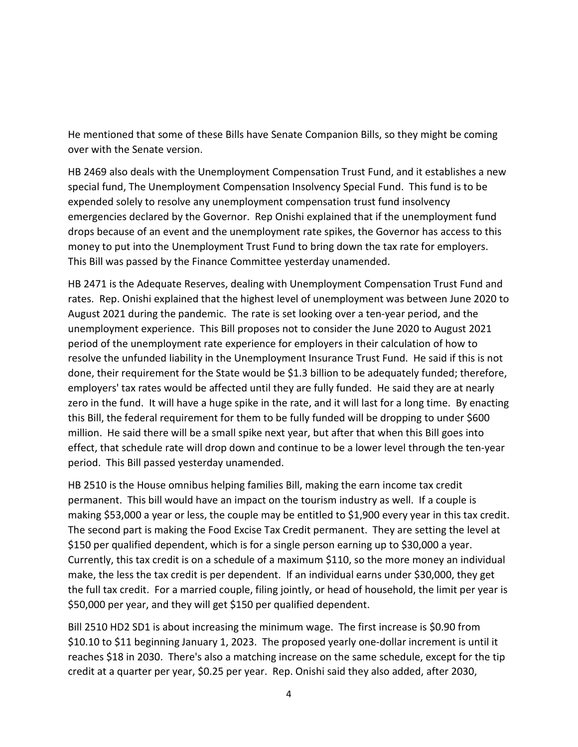He mentioned that some of these Bills have Senate Companion Bills, so they might be coming over with the Senate version.

HB 2469 also deals with the Unemployment Compensation Trust Fund, and it establishes a new special fund, The Unemployment Compensation Insolvency Special Fund. This fund is to be expended solely to resolve any unemployment compensation trust fund insolvency emergencies declared by the Governor. Rep Onishi explained that if the unemployment fund drops because of an event and the unemployment rate spikes, the Governor has access to this money to put into the Unemployment Trust Fund to bring down the tax rate for employers. This Bill was passed by the Finance Committee yesterday unamended.

HB 2471 is the Adequate Reserves, dealing with Unemployment Compensation Trust Fund and rates. Rep. Onishi explained that the highest level of unemployment was between June 2020 to August 2021 during the pandemic. The rate is set looking over a ten-year period, and the unemployment experience. This Bill proposes not to consider the June 2020 to August 2021 period of the unemployment rate experience for employers in their calculation of how to resolve the unfunded liability in the Unemployment Insurance Trust Fund. He said if this is not done, their requirement for the State would be \$1.3 billion to be adequately funded; therefore, employers' tax rates would be affected until they are fully funded. He said they are at nearly zero in the fund. It will have a huge spike in the rate, and it will last for a long time. By enacting this Bill, the federal requirement for them to be fully funded will be dropping to under \$600 million. He said there will be a small spike next year, but after that when this Bill goes into effect, that schedule rate will drop down and continue to be a lower level through the ten-year period. This Bill passed yesterday unamended.

HB 2510 is the House omnibus helping families Bill, making the earn income tax credit permanent. This bill would have an impact on the tourism industry as well. If a couple is making \$53,000 a year or less, the couple may be entitled to \$1,900 every year in this tax credit. The second part is making the Food Excise Tax Credit permanent. They are setting the level at \$150 per qualified dependent, which is for a single person earning up to \$30,000 a year. Currently, this tax credit is on a schedule of a maximum \$110, so the more money an individual make, the less the tax credit is per dependent. If an individual earns under \$30,000, they get the full tax credit. For a married couple, filing jointly, or head of household, the limit per year is \$50,000 per year, and they will get \$150 per qualified dependent.

Bill 2510 HD2 SD1 is about increasing the minimum wage. The first increase is \$0.90 from \$10.10 to \$11 beginning January 1, 2023. The proposed yearly one-dollar increment is until it reaches \$18 in 2030. There's also a matching increase on the same schedule, except for the tip credit at a quarter per year, \$0.25 per year. Rep. Onishi said they also added, after 2030,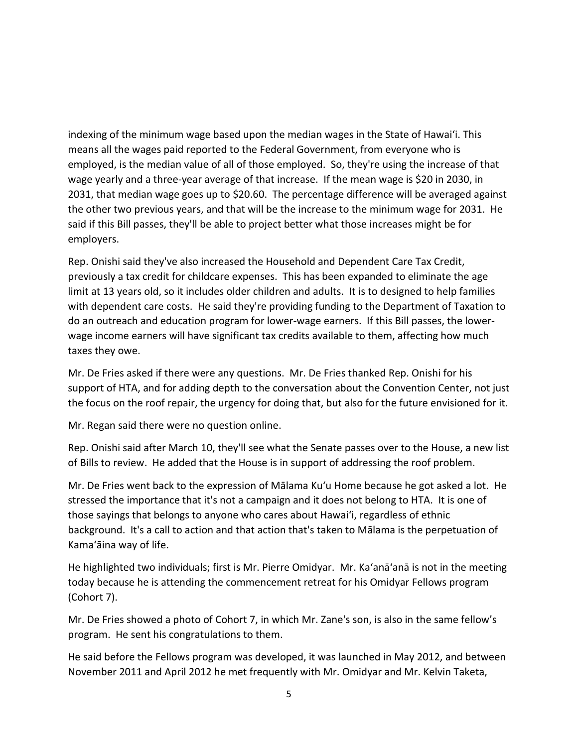indexing of the minimum wage based upon the median wages in the State of Hawai'i. This means all the wages paid reported to the Federal Government, from everyone who is employed, is the median value of all of those employed. So, they're using the increase of that wage yearly and a three-year average of that increase. If the mean wage is \$20 in 2030, in 2031, that median wage goes up to \$20.60. The percentage difference will be averaged against the other two previous years, and that will be the increase to the minimum wage for 2031. He said if this Bill passes, they'll be able to project better what those increases might be for employers.

Rep. Onishi said they've also increased the Household and Dependent Care Tax Credit, previously a tax credit for childcare expenses. This has been expanded to eliminate the age limit at 13 years old, so it includes older children and adults. It is to designed to help families with dependent care costs. He said they're providing funding to the Department of Taxation to do an outreach and education program for lower-wage earners. If this Bill passes, the lowerwage income earners will have significant tax credits available to them, affecting how much taxes they owe.

Mr. De Fries asked if there were any questions. Mr. De Fries thanked Rep. Onishi for his support of HTA, and for adding depth to the conversation about the Convention Center, not just the focus on the roof repair, the urgency for doing that, but also for the future envisioned for it.

Mr. Regan said there were no question online.

Rep. Onishi said after March 10, they'll see what the Senate passes over to the House, a new list of Bills to review. He added that the House is in support of addressing the roof problem.

Mr. De Fries went back to the expression of Mālama Kuʻu Home because he got asked a lot. He stressed the importance that it's not a campaign and it does not belong to HTA. It is one of those sayings that belongs to anyone who cares about Hawai'i, regardless of ethnic background. It's a call to action and that action that's taken to Mālama is the perpetuation of Kama'āina way of life.

He highlighted two individuals; first is Mr. Pierre Omidyar. Mr. Ka'anā'anā is not in the meeting today because he is attending the commencement retreat for his Omidyar Fellows program (Cohort 7).

Mr. De Fries showed a photo of Cohort 7, in which Mr. Zane's son, is also in the same fellow's program. He sent his congratulations to them.

He said before the Fellows program was developed, it was launched in May 2012, and between November 2011 and April 2012 he met frequently with Mr. Omidyar and Mr. Kelvin Taketa,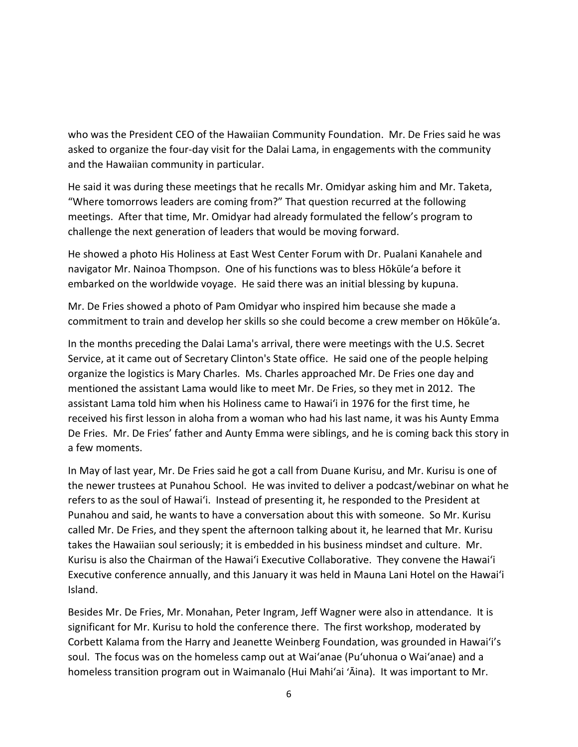who was the President CEO of the Hawaiian Community Foundation. Mr. De Fries said he was asked to organize the four-day visit for the Dalai Lama, in engagements with the community and the Hawaiian community in particular.

He said it was during these meetings that he recalls Mr. Omidyar asking him and Mr. Taketa, "Where tomorrows leaders are coming from?" That question recurred at the following meetings. After that time, Mr. Omidyar had already formulated the fellow's program to challenge the next generation of leaders that would be moving forward.

He showed a photo His Holiness at East West Center Forum with Dr. Pualani Kanahele and navigator Mr. Nainoa Thompson. One of his functions was to bless Hōkūleʻa before it embarked on the worldwide voyage. He said there was an initial blessing by kupuna.

Mr. De Fries showed a photo of Pam Omidyar who inspired him because she made a commitment to train and develop her skills so she could become a crew member on Hōkūleʻa.

In the months preceding the Dalai Lama's arrival, there were meetings with the U.S. Secret Service, at it came out of Secretary Clinton's State office. He said one of the people helping organize the logistics is Mary Charles. Ms. Charles approached Mr. De Fries one day and mentioned the assistant Lama would like to meet Mr. De Fries, so they met in 2012. The assistant Lama told him when his Holiness came to Hawai'i in 1976 for the first time, he received his first lesson in aloha from a woman who had his last name, it was his Aunty Emma De Fries. Mr. De Fries' father and Aunty Emma were siblings, and he is coming back this story in a few moments.

In May of last year, Mr. De Fries said he got a call from Duane Kurisu, and Mr. Kurisu is one of the newer trustees at Punahou School. He was invited to deliver a podcast/webinar on what he refers to as the soul of Hawai'i. Instead of presenting it, he responded to the President at Punahou and said, he wants to have a conversation about this with someone. So Mr. Kurisu called Mr. De Fries, and they spent the afternoon talking about it, he learned that Mr. Kurisu takes the Hawaiian soul seriously; it is embedded in his business mindset and culture. Mr. Kurisu is also the Chairman of the Hawai'i Executive Collaborative. They convene the Hawai'i Executive conference annually, and this January it was held in Mauna Lani Hotel on the Hawai'i Island.

Besides Mr. De Fries, Mr. Monahan, Peter Ingram, Jeff Wagner were also in attendance. It is significant for Mr. Kurisu to hold the conference there. The first workshop, moderated by Corbett Kalama from the Harry and Jeanette Weinberg Foundation, was grounded in Hawai'i's soul. The focus was on the homeless camp out at Wai'anae (Pu'uhonua o Wai'anae) and a homeless transition program out in Waimanalo (Hui Mahi'ai ʻĀina). It was important to Mr.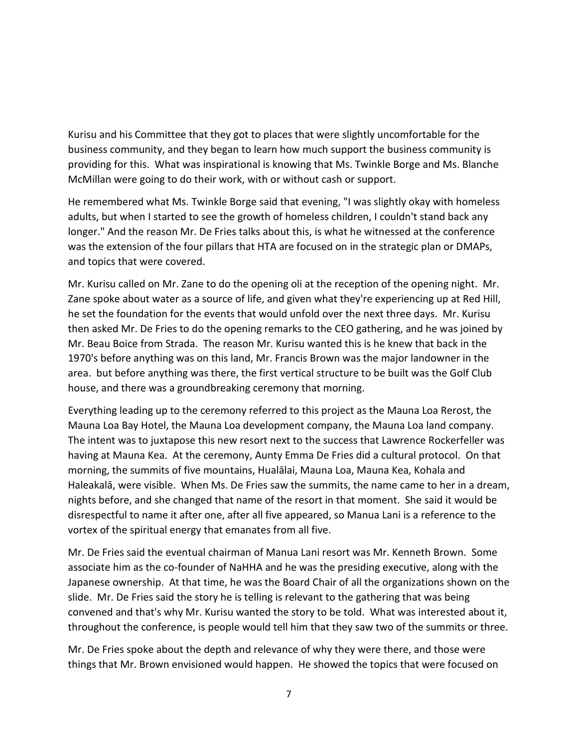Kurisu and his Committee that they got to places that were slightly uncomfortable for the business community, and they began to learn how much support the business community is providing for this. What was inspirational is knowing that Ms. Twinkle Borge and Ms. Blanche McMillan were going to do their work, with or without cash or support.

He remembered what Ms. Twinkle Borge said that evening, "I was slightly okay with homeless adults, but when I started to see the growth of homeless children, I couldn't stand back any longer." And the reason Mr. De Fries talks about this, is what he witnessed at the conference was the extension of the four pillars that HTA are focused on in the strategic plan or DMAPs, and topics that were covered.

Mr. Kurisu called on Mr. Zane to do the opening oli at the reception of the opening night. Mr. Zane spoke about water as a source of life, and given what they're experiencing up at Red Hill, he set the foundation for the events that would unfold over the next three days. Mr. Kurisu then asked Mr. De Fries to do the opening remarks to the CEO gathering, and he was joined by Mr. Beau Boice from Strada. The reason Mr. Kurisu wanted this is he knew that back in the 1970's before anything was on this land, Mr. Francis Brown was the major landowner in the area. but before anything was there, the first vertical structure to be built was the Golf Club house, and there was a groundbreaking ceremony that morning.

Everything leading up to the ceremony referred to this project as the Mauna Loa Rerost, the Mauna Loa Bay Hotel, the Mauna Loa development company, the Mauna Loa land company. The intent was to juxtapose this new resort next to the success that Lawrence Rockerfeller was having at Mauna Kea. At the ceremony, Aunty Emma De Fries did a cultural protocol. On that morning, the summits of five mountains, Hualālai, Mauna Loa, Mauna Kea, Kohala and Haleakalā, were visible. When Ms. De Fries saw the summits, the name came to her in a dream, nights before, and she changed that name of the resort in that moment. She said it would be disrespectful to name it after one, after all five appeared, so Manua Lani is a reference to the vortex of the spiritual energy that emanates from all five.

Mr. De Fries said the eventual chairman of Manua Lani resort was Mr. Kenneth Brown. Some associate him as the co-founder of NaHHA and he was the presiding executive, along with the Japanese ownership. At that time, he was the Board Chair of all the organizations shown on the slide. Mr. De Fries said the story he is telling is relevant to the gathering that was being convened and that's why Mr. Kurisu wanted the story to be told. What was interested about it, throughout the conference, is people would tell him that they saw two of the summits or three.

Mr. De Fries spoke about the depth and relevance of why they were there, and those were things that Mr. Brown envisioned would happen. He showed the topics that were focused on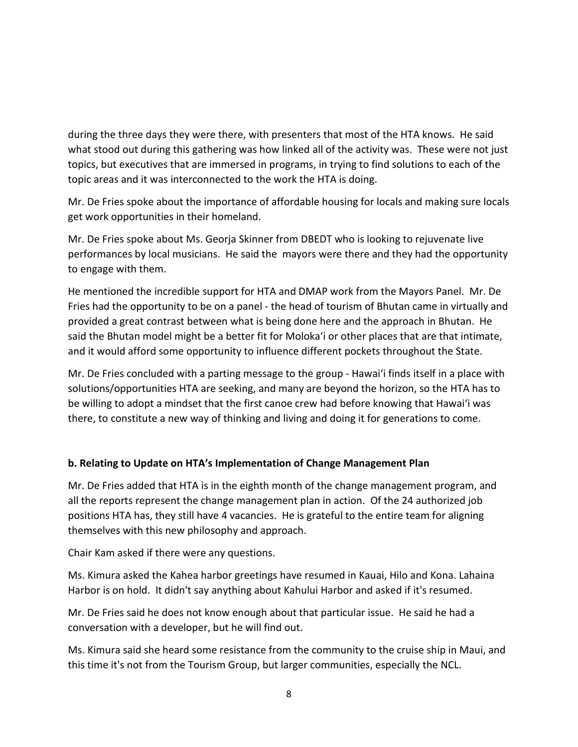during the three days they were there, with presenters that most of the HTA knows. He said what stood out during this gathering was how linked all of the activity was. These were not just topics, but executives that are immersed in programs, in trying to find solutions to each of the topic areas and it was interconnected to the work the HTA is doing.

Mr. De Fries spoke about the importance of affordable housing for locals and making sure locals get work opportunities in their homeland.

Mr. De Fries spoke about Ms. Georja Skinner from DBEDT who is looking to rejuvenate live performances by local musicians. He said the mayors were there and they had the opportunity to engage with them.

He mentioned the incredible support for HTA and DMAP work from the Mayors Panel. Mr. De Fries had the opportunity to be on a panel - the head of tourism of Bhutan came in virtually and provided a great contrast between what is being done here and the approach in Bhutan. He said the Bhutan model might be a better fit for Moloka'i or other places that are that intimate, and it would afford some opportunity to influence different pockets throughout the State.

Mr. De Fries concluded with a parting message to the group - Hawai'i finds itself in a place with solutions/opportunities HTA are seeking, and many are beyond the horizon, so the HTA has to be willing to adopt a mindset that the first canoe crew had before knowing that Hawai'i was there, to constitute a new way of thinking and living and doing it for generations to come.

### **b. Relating to Update on HTA's Implementation of Change Management Plan**

Mr. De Fries added that HTA is in the eighth month of the change management program, and all the reports represent the change management plan in action. Of the 24 authorized job positions HTA has, they still have 4 vacancies. He is grateful to the entire team for aligning themselves with this new philosophy and approach.

Chair Kam asked if there were any questions.

Ms. Kimura asked the Kahea harbor greetings have resumed in Kauai, Hilo and Kona. Lahaina Harbor is on hold. It didn't say anything about Kahului Harbor and asked if it's resumed.

Mr. De Fries said he does not know enough about that particular issue. He said he had a conversation with a developer, but he will find out.

Ms. Kimura said she heard some resistance from the community to the cruise ship in Maui, and this time it's not from the Tourism Group, but larger communities, especially the NCL.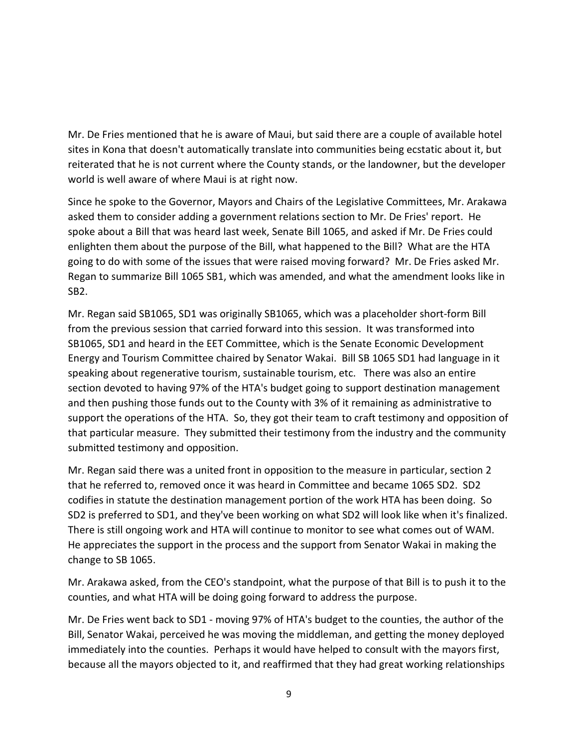Mr. De Fries mentioned that he is aware of Maui, but said there are a couple of available hotel sites in Kona that doesn't automatically translate into communities being ecstatic about it, but reiterated that he is not current where the County stands, or the landowner, but the developer world is well aware of where Maui is at right now.

Since he spoke to the Governor, Mayors and Chairs of the Legislative Committees, Mr. Arakawa asked them to consider adding a government relations section to Mr. De Fries' report. He spoke about a Bill that was heard last week, Senate Bill 1065, and asked if Mr. De Fries could enlighten them about the purpose of the Bill, what happened to the Bill? What are the HTA going to do with some of the issues that were raised moving forward? Mr. De Fries asked Mr. Regan to summarize Bill 1065 SB1, which was amended, and what the amendment looks like in SB2.

Mr. Regan said SB1065, SD1 was originally SB1065, which was a placeholder short-form Bill from the previous session that carried forward into this session. It was transformed into SB1065, SD1 and heard in the EET Committee, which is the Senate Economic Development Energy and Tourism Committee chaired by Senator Wakai. Bill SB 1065 SD1 had language in it speaking about regenerative tourism, sustainable tourism, etc. There was also an entire section devoted to having 97% of the HTA's budget going to support destination management and then pushing those funds out to the County with 3% of it remaining as administrative to support the operations of the HTA. So, they got their team to craft testimony and opposition of that particular measure. They submitted their testimony from the industry and the community submitted testimony and opposition.

Mr. Regan said there was a united front in opposition to the measure in particular, section 2 that he referred to, removed once it was heard in Committee and became 1065 SD2. SD2 codifies in statute the destination management portion of the work HTA has been doing. So SD2 is preferred to SD1, and they've been working on what SD2 will look like when it's finalized. There is still ongoing work and HTA will continue to monitor to see what comes out of WAM. He appreciates the support in the process and the support from Senator Wakai in making the change to SB 1065.

Mr. Arakawa asked, from the CEO's standpoint, what the purpose of that Bill is to push it to the counties, and what HTA will be doing going forward to address the purpose.

Mr. De Fries went back to SD1 - moving 97% of HTA's budget to the counties, the author of the Bill, Senator Wakai, perceived he was moving the middleman, and getting the money deployed immediately into the counties. Perhaps it would have helped to consult with the mayors first, because all the mayors objected to it, and reaffirmed that they had great working relationships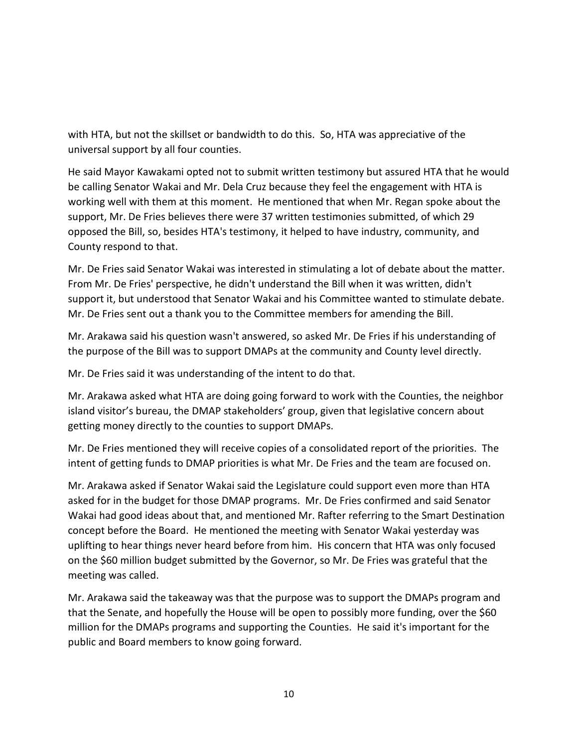with HTA, but not the skillset or bandwidth to do this. So, HTA was appreciative of the universal support by all four counties.

He said Mayor Kawakami opted not to submit written testimony but assured HTA that he would be calling Senator Wakai and Mr. Dela Cruz because they feel the engagement with HTA is working well with them at this moment. He mentioned that when Mr. Regan spoke about the support, Mr. De Fries believes there were 37 written testimonies submitted, of which 29 opposed the Bill, so, besides HTA's testimony, it helped to have industry, community, and County respond to that.

Mr. De Fries said Senator Wakai was interested in stimulating a lot of debate about the matter. From Mr. De Fries' perspective, he didn't understand the Bill when it was written, didn't support it, but understood that Senator Wakai and his Committee wanted to stimulate debate. Mr. De Fries sent out a thank you to the Committee members for amending the Bill.

Mr. Arakawa said his question wasn't answered, so asked Mr. De Fries if his understanding of the purpose of the Bill was to support DMAPs at the community and County level directly.

Mr. De Fries said it was understanding of the intent to do that.

Mr. Arakawa asked what HTA are doing going forward to work with the Counties, the neighbor island visitor's bureau, the DMAP stakeholders' group, given that legislative concern about getting money directly to the counties to support DMAPs.

Mr. De Fries mentioned they will receive copies of a consolidated report of the priorities. The intent of getting funds to DMAP priorities is what Mr. De Fries and the team are focused on.

Mr. Arakawa asked if Senator Wakai said the Legislature could support even more than HTA asked for in the budget for those DMAP programs. Mr. De Fries confirmed and said Senator Wakai had good ideas about that, and mentioned Mr. Rafter referring to the Smart Destination concept before the Board. He mentioned the meeting with Senator Wakai yesterday was uplifting to hear things never heard before from him. His concern that HTA was only focused on the \$60 million budget submitted by the Governor, so Mr. De Fries was grateful that the meeting was called.

Mr. Arakawa said the takeaway was that the purpose was to support the DMAPs program and that the Senate, and hopefully the House will be open to possibly more funding, over the \$60 million for the DMAPs programs and supporting the Counties. He said it's important for the public and Board members to know going forward.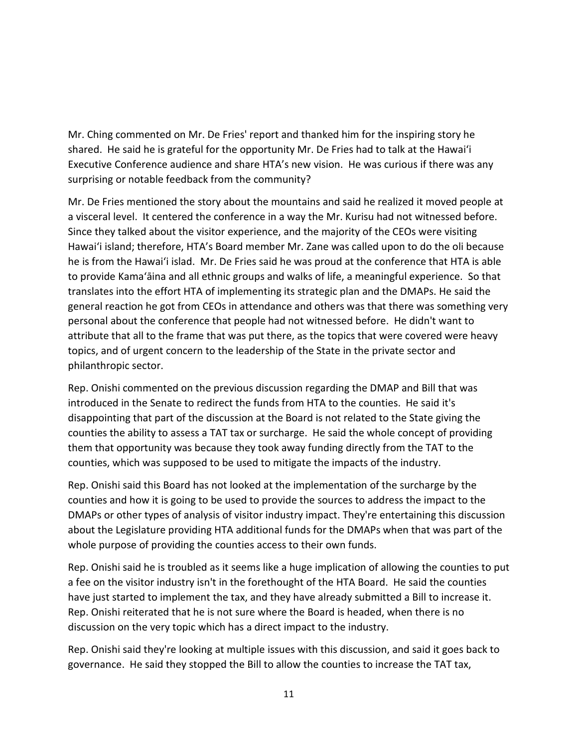Mr. Ching commented on Mr. De Fries' report and thanked him for the inspiring story he shared. He said he is grateful for the opportunity Mr. De Fries had to talk at the Hawai'i Executive Conference audience and share HTA's new vision. He was curious if there was any surprising or notable feedback from the community?

Mr. De Fries mentioned the story about the mountains and said he realized it moved people at a visceral level. It centered the conference in a way the Mr. Kurisu had not witnessed before. Since they talked about the visitor experience, and the majority of the CEOs were visiting Hawai'i island; therefore, HTA's Board member Mr. Zane was called upon to do the oli because he is from the Hawai'i islad. Mr. De Fries said he was proud at the conference that HTA is able to provide Kama'āina and all ethnic groups and walks of life, a meaningful experience. So that translates into the effort HTA of implementing its strategic plan and the DMAPs. He said the general reaction he got from CEOs in attendance and others was that there was something very personal about the conference that people had not witnessed before. He didn't want to attribute that all to the frame that was put there, as the topics that were covered were heavy topics, and of urgent concern to the leadership of the State in the private sector and philanthropic sector.

Rep. Onishi commented on the previous discussion regarding the DMAP and Bill that was introduced in the Senate to redirect the funds from HTA to the counties. He said it's disappointing that part of the discussion at the Board is not related to the State giving the counties the ability to assess a TAT tax or surcharge. He said the whole concept of providing them that opportunity was because they took away funding directly from the TAT to the counties, which was supposed to be used to mitigate the impacts of the industry.

Rep. Onishi said this Board has not looked at the implementation of the surcharge by the counties and how it is going to be used to provide the sources to address the impact to the DMAPs or other types of analysis of visitor industry impact. They're entertaining this discussion about the Legislature providing HTA additional funds for the DMAPs when that was part of the whole purpose of providing the counties access to their own funds.

Rep. Onishi said he is troubled as it seems like a huge implication of allowing the counties to put a fee on the visitor industry isn't in the forethought of the HTA Board. He said the counties have just started to implement the tax, and they have already submitted a Bill to increase it. Rep. Onishi reiterated that he is not sure where the Board is headed, when there is no discussion on the very topic which has a direct impact to the industry.

Rep. Onishi said they're looking at multiple issues with this discussion, and said it goes back to governance. He said they stopped the Bill to allow the counties to increase the TAT tax,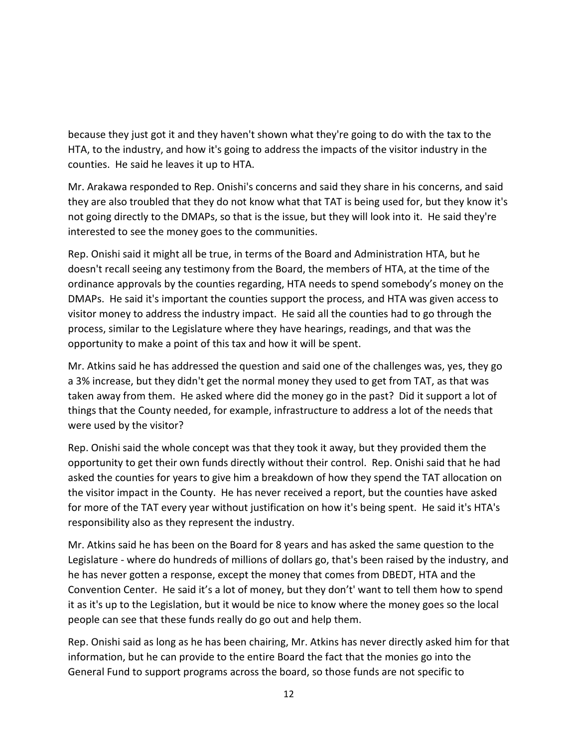because they just got it and they haven't shown what they're going to do with the tax to the HTA, to the industry, and how it's going to address the impacts of the visitor industry in the counties. He said he leaves it up to HTA.

Mr. Arakawa responded to Rep. Onishi's concerns and said they share in his concerns, and said they are also troubled that they do not know what that TAT is being used for, but they know it's not going directly to the DMAPs, so that is the issue, but they will look into it. He said they're interested to see the money goes to the communities.

Rep. Onishi said it might all be true, in terms of the Board and Administration HTA, but he doesn't recall seeing any testimony from the Board, the members of HTA, at the time of the ordinance approvals by the counties regarding, HTA needs to spend somebody's money on the DMAPs. He said it's important the counties support the process, and HTA was given access to visitor money to address the industry impact. He said all the counties had to go through the process, similar to the Legislature where they have hearings, readings, and that was the opportunity to make a point of this tax and how it will be spent.

Mr. Atkins said he has addressed the question and said one of the challenges was, yes, they go a 3% increase, but they didn't get the normal money they used to get from TAT, as that was taken away from them. He asked where did the money go in the past? Did it support a lot of things that the County needed, for example, infrastructure to address a lot of the needs that were used by the visitor?

Rep. Onishi said the whole concept was that they took it away, but they provided them the opportunity to get their own funds directly without their control. Rep. Onishi said that he had asked the counties for years to give him a breakdown of how they spend the TAT allocation on the visitor impact in the County. He has never received a report, but the counties have asked for more of the TAT every year without justification on how it's being spent. He said it's HTA's responsibility also as they represent the industry.

Mr. Atkins said he has been on the Board for 8 years and has asked the same question to the Legislature - where do hundreds of millions of dollars go, that's been raised by the industry, and he has never gotten a response, except the money that comes from DBEDT, HTA and the Convention Center. He said it's a lot of money, but they don't' want to tell them how to spend it as it's up to the Legislation, but it would be nice to know where the money goes so the local people can see that these funds really do go out and help them.

Rep. Onishi said as long as he has been chairing, Mr. Atkins has never directly asked him for that information, but he can provide to the entire Board the fact that the monies go into the General Fund to support programs across the board, so those funds are not specific to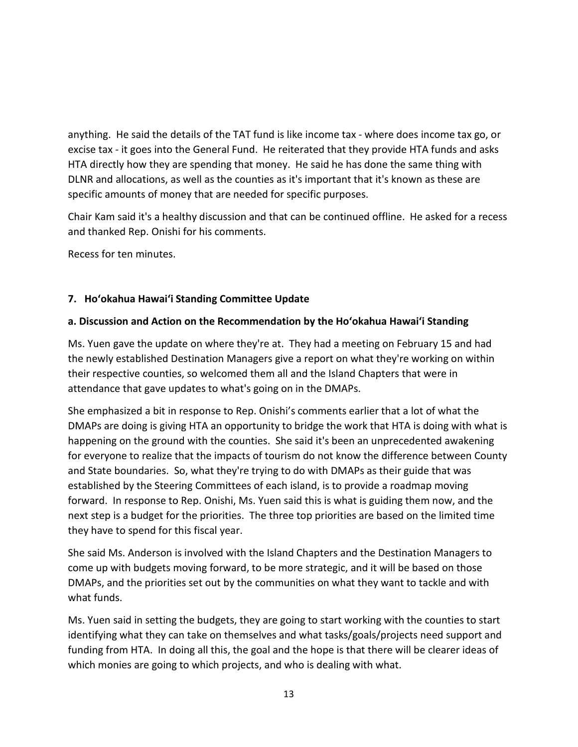anything. He said the details of the TAT fund is like income tax - where does income tax go, or excise tax - it goes into the General Fund. He reiterated that they provide HTA funds and asks HTA directly how they are spending that money. He said he has done the same thing with DLNR and allocations, as well as the counties as it's important that it's known as these are specific amounts of money that are needed for specific purposes.

Chair Kam said it's a healthy discussion and that can be continued offline. He asked for a recess and thanked Rep. Onishi for his comments.

Recess for ten minutes.

## **7. Hoʻokahua Hawai'i Standing Committee Update**

### **a. Discussion and Action on the Recommendation by the Hoʻokahua Hawai'i Standing**

Ms. Yuen gave the update on where they're at. They had a meeting on February 15 and had the newly established Destination Managers give a report on what they're working on within their respective counties, so welcomed them all and the Island Chapters that were in attendance that gave updates to what's going on in the DMAPs.

She emphasized a bit in response to Rep. Onishi's comments earlier that a lot of what the DMAPs are doing is giving HTA an opportunity to bridge the work that HTA is doing with what is happening on the ground with the counties. She said it's been an unprecedented awakening for everyone to realize that the impacts of tourism do not know the difference between County and State boundaries. So, what they're trying to do with DMAPs as their guide that was established by the Steering Committees of each island, is to provide a roadmap moving forward. In response to Rep. Onishi, Ms. Yuen said this is what is guiding them now, and the next step is a budget for the priorities. The three top priorities are based on the limited time they have to spend for this fiscal year.

She said Ms. Anderson is involved with the Island Chapters and the Destination Managers to come up with budgets moving forward, to be more strategic, and it will be based on those DMAPs, and the priorities set out by the communities on what they want to tackle and with what funds.

Ms. Yuen said in setting the budgets, they are going to start working with the counties to start identifying what they can take on themselves and what tasks/goals/projects need support and funding from HTA. In doing all this, the goal and the hope is that there will be clearer ideas of which monies are going to which projects, and who is dealing with what.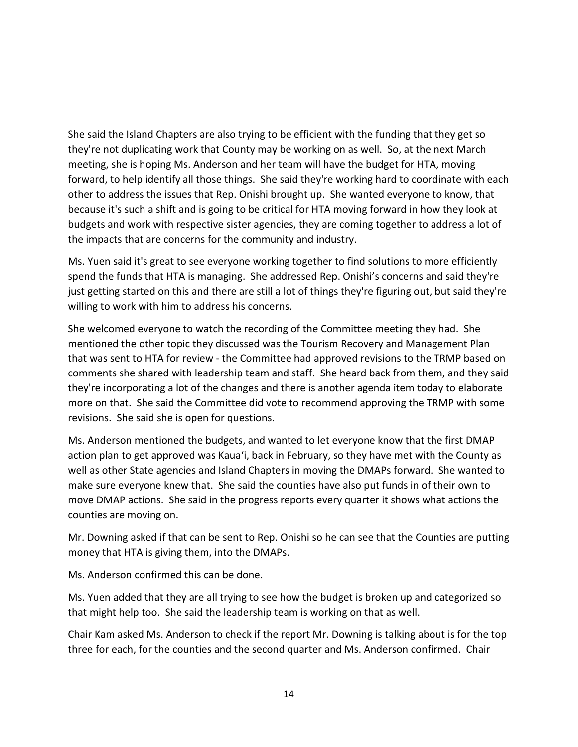She said the Island Chapters are also trying to be efficient with the funding that they get so they're not duplicating work that County may be working on as well. So, at the next March meeting, she is hoping Ms. Anderson and her team will have the budget for HTA, moving forward, to help identify all those things. She said they're working hard to coordinate with each other to address the issues that Rep. Onishi brought up. She wanted everyone to know, that because it's such a shift and is going to be critical for HTA moving forward in how they look at budgets and work with respective sister agencies, they are coming together to address a lot of the impacts that are concerns for the community and industry.

Ms. Yuen said it's great to see everyone working together to find solutions to more efficiently spend the funds that HTA is managing. She addressed Rep. Onishi's concerns and said they're just getting started on this and there are still a lot of things they're figuring out, but said they're willing to work with him to address his concerns.

She welcomed everyone to watch the recording of the Committee meeting they had. She mentioned the other topic they discussed was the Tourism Recovery and Management Plan that was sent to HTA for review - the Committee had approved revisions to the TRMP based on comments she shared with leadership team and staff. She heard back from them, and they said they're incorporating a lot of the changes and there is another agenda item today to elaborate more on that. She said the Committee did vote to recommend approving the TRMP with some revisions. She said she is open for questions.

Ms. Anderson mentioned the budgets, and wanted to let everyone know that the first DMAP action plan to get approved was Kaua'i, back in February, so they have met with the County as well as other State agencies and Island Chapters in moving the DMAPs forward. She wanted to make sure everyone knew that. She said the counties have also put funds in of their own to move DMAP actions. She said in the progress reports every quarter it shows what actions the counties are moving on.

Mr. Downing asked if that can be sent to Rep. Onishi so he can see that the Counties are putting money that HTA is giving them, into the DMAPs.

Ms. Anderson confirmed this can be done.

Ms. Yuen added that they are all trying to see how the budget is broken up and categorized so that might help too. She said the leadership team is working on that as well.

Chair Kam asked Ms. Anderson to check if the report Mr. Downing is talking about is for the top three for each, for the counties and the second quarter and Ms. Anderson confirmed. Chair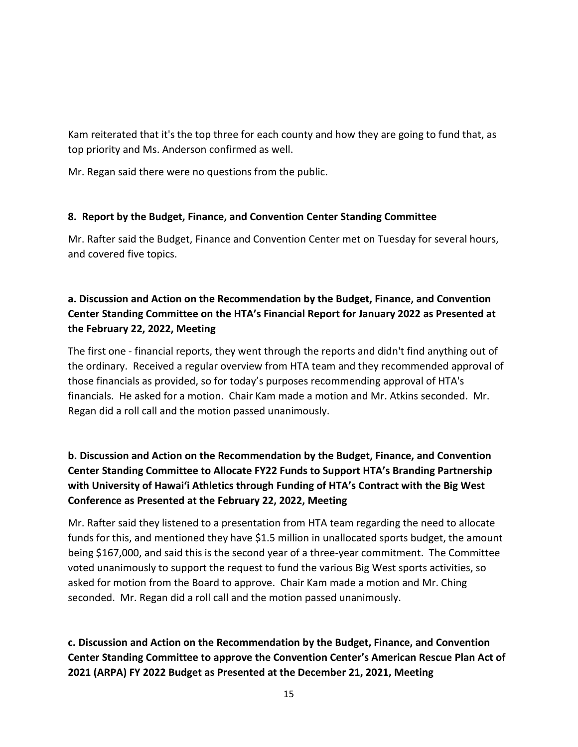Kam reiterated that it's the top three for each county and how they are going to fund that, as top priority and Ms. Anderson confirmed as well.

Mr. Regan said there were no questions from the public.

### **8. Report by the Budget, Finance, and Convention Center Standing Committee**

Mr. Rafter said the Budget, Finance and Convention Center met on Tuesday for several hours, and covered five topics.

## **a. Discussion and Action on the Recommendation by the Budget, Finance, and Convention Center Standing Committee on the HTA's Financial Report for January 2022 as Presented at the February 22, 2022, Meeting**

The first one - financial reports, they went through the reports and didn't find anything out of the ordinary. Received a regular overview from HTA team and they recommended approval of those financials as provided, so for today's purposes recommending approval of HTA's financials. He asked for a motion. Chair Kam made a motion and Mr. Atkins seconded. Mr. Regan did a roll call and the motion passed unanimously.

# **b. Discussion and Action on the Recommendation by the Budget, Finance, and Convention Center Standing Committee to Allocate FY22 Funds to Support HTA's Branding Partnership with University of Hawaiʻi Athletics through Funding of HTA's Contract with the Big West Conference as Presented at the February 22, 2022, Meeting**

Mr. Rafter said they listened to a presentation from HTA team regarding the need to allocate funds for this, and mentioned they have \$1.5 million in unallocated sports budget, the amount being \$167,000, and said this is the second year of a three-year commitment. The Committee voted unanimously to support the request to fund the various Big West sports activities, so asked for motion from the Board to approve. Chair Kam made a motion and Mr. Ching seconded. Mr. Regan did a roll call and the motion passed unanimously.

**c. Discussion and Action on the Recommendation by the Budget, Finance, and Convention Center Standing Committee to approve the Convention Center's American Rescue Plan Act of 2021 (ARPA) FY 2022 Budget as Presented at the December 21, 2021, Meeting**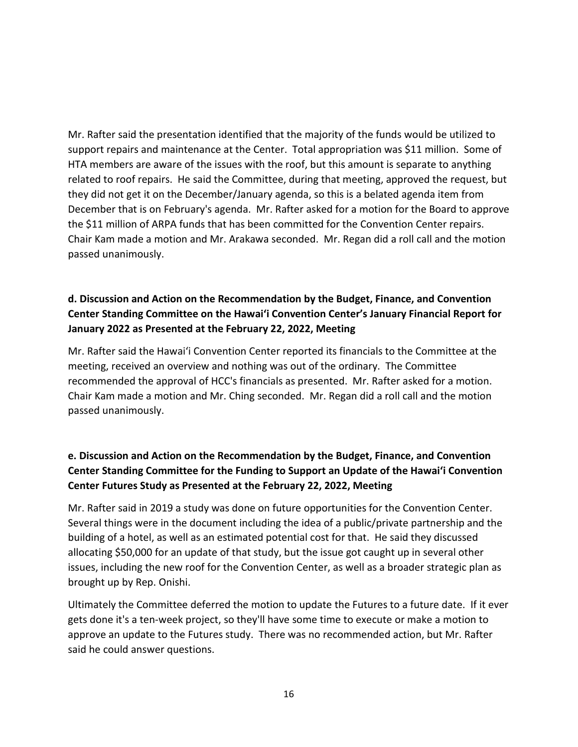Mr. Rafter said the presentation identified that the majority of the funds would be utilized to support repairs and maintenance at the Center. Total appropriation was \$11 million. Some of HTA members are aware of the issues with the roof, but this amount is separate to anything related to roof repairs. He said the Committee, during that meeting, approved the request, but they did not get it on the December/January agenda, so this is a belated agenda item from December that is on February's agenda. Mr. Rafter asked for a motion for the Board to approve the \$11 million of ARPA funds that has been committed for the Convention Center repairs. Chair Kam made a motion and Mr. Arakawa seconded. Mr. Regan did a roll call and the motion passed unanimously.

# **d. Discussion and Action on the Recommendation by the Budget, Finance, and Convention Center Standing Committee on the Hawai'i Convention Center's January Financial Report for January 2022 as Presented at the February 22, 2022, Meeting**

Mr. Rafter said the Hawai'i Convention Center reported its financials to the Committee at the meeting, received an overview and nothing was out of the ordinary. The Committee recommended the approval of HCC's financials as presented. Mr. Rafter asked for a motion. Chair Kam made a motion and Mr. Ching seconded. Mr. Regan did a roll call and the motion passed unanimously.

# **e. Discussion and Action on the Recommendation by the Budget, Finance, and Convention Center Standing Committee for the Funding to Support an Update of the Hawai'i Convention Center Futures Study as Presented at the February 22, 2022, Meeting**

Mr. Rafter said in 2019 a study was done on future opportunities for the Convention Center. Several things were in the document including the idea of a public/private partnership and the building of a hotel, as well as an estimated potential cost for that. He said they discussed allocating \$50,000 for an update of that study, but the issue got caught up in several other issues, including the new roof for the Convention Center, as well as a broader strategic plan as brought up by Rep. Onishi.

Ultimately the Committee deferred the motion to update the Futures to a future date. If it ever gets done it's a ten-week project, so they'll have some time to execute or make a motion to approve an update to the Futures study. There was no recommended action, but Mr. Rafter said he could answer questions.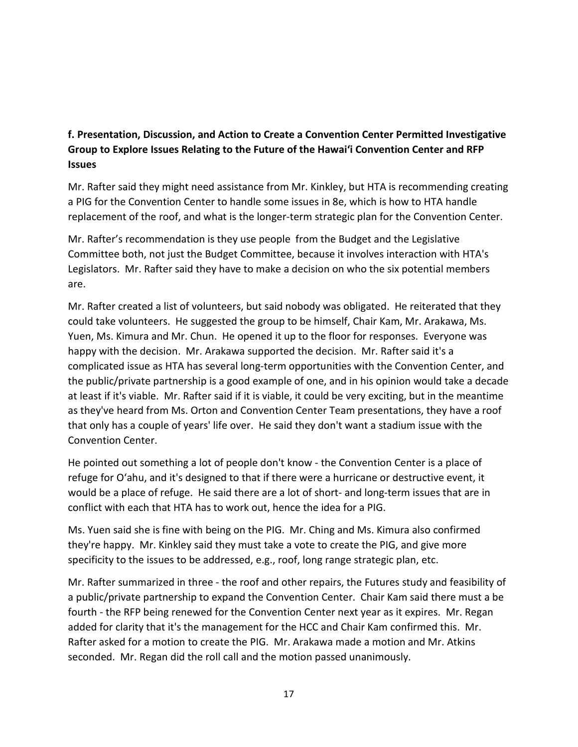## **f. Presentation, Discussion, and Action to Create a Convention Center Permitted Investigative Group to Explore Issues Relating to the Future of the Hawai'i Convention Center and RFP Issues**

Mr. Rafter said they might need assistance from Mr. Kinkley, but HTA is recommending creating a PIG for the Convention Center to handle some issues in 8e, which is how to HTA handle replacement of the roof, and what is the longer-term strategic plan for the Convention Center.

Mr. Rafter's recommendation is they use people from the Budget and the Legislative Committee both, not just the Budget Committee, because it involves interaction with HTA's Legislators. Mr. Rafter said they have to make a decision on who the six potential members are.

Mr. Rafter created a list of volunteers, but said nobody was obligated. He reiterated that they could take volunteers. He suggested the group to be himself, Chair Kam, Mr. Arakawa, Ms. Yuen, Ms. Kimura and Mr. Chun. He opened it up to the floor for responses. Everyone was happy with the decision. Mr. Arakawa supported the decision. Mr. Rafter said it's a complicated issue as HTA has several long-term opportunities with the Convention Center, and the public/private partnership is a good example of one, and in his opinion would take a decade at least if it's viable. Mr. Rafter said if it is viable, it could be very exciting, but in the meantime as they've heard from Ms. Orton and Convention Center Team presentations, they have a roof that only has a couple of years' life over. He said they don't want a stadium issue with the Convention Center.

He pointed out something a lot of people don't know - the Convention Center is a place of refuge for O'ahu, and it's designed to that if there were a hurricane or destructive event, it would be a place of refuge. He said there are a lot of short- and long-term issues that are in conflict with each that HTA has to work out, hence the idea for a PIG.

Ms. Yuen said she is fine with being on the PIG. Mr. Ching and Ms. Kimura also confirmed they're happy. Mr. Kinkley said they must take a vote to create the PIG, and give more specificity to the issues to be addressed, e.g., roof, long range strategic plan, etc.

Mr. Rafter summarized in three - the roof and other repairs, the Futures study and feasibility of a public/private partnership to expand the Convention Center. Chair Kam said there must a be fourth - the RFP being renewed for the Convention Center next year as it expires. Mr. Regan added for clarity that it's the management for the HCC and Chair Kam confirmed this. Mr. Rafter asked for a motion to create the PIG. Mr. Arakawa made a motion and Mr. Atkins seconded. Mr. Regan did the roll call and the motion passed unanimously.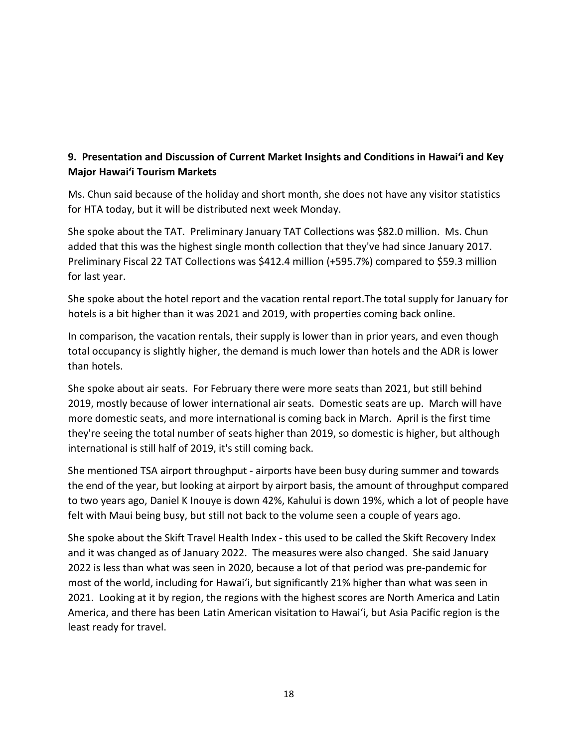## **9. Presentation and Discussion of Current Market Insights and Conditions in Hawai'i and Key Major Hawai'i Tourism Markets**

Ms. Chun said because of the holiday and short month, she does not have any visitor statistics for HTA today, but it will be distributed next week Monday.

She spoke about the TAT. Preliminary January TAT Collections was \$82.0 million. Ms. Chun added that this was the highest single month collection that they've had since January 2017. Preliminary Fiscal 22 TAT Collections was \$412.4 million (+595.7%) compared to \$59.3 million for last year.

She spoke about the hotel report and the vacation rental report.The total supply for January for hotels is a bit higher than it was 2021 and 2019, with properties coming back online.

In comparison, the vacation rentals, their supply is lower than in prior years, and even though total occupancy is slightly higher, the demand is much lower than hotels and the ADR is lower than hotels.

She spoke about air seats. For February there were more seats than 2021, but still behind 2019, mostly because of lower international air seats. Domestic seats are up. March will have more domestic seats, and more international is coming back in March. April is the first time they're seeing the total number of seats higher than 2019, so domestic is higher, but although international is still half of 2019, it's still coming back.

She mentioned TSA airport throughput - airports have been busy during summer and towards the end of the year, but looking at airport by airport basis, the amount of throughput compared to two years ago, Daniel K Inouye is down 42%, Kahului is down 19%, which a lot of people have felt with Maui being busy, but still not back to the volume seen a couple of years ago.

She spoke about the Skift Travel Health Index - this used to be called the Skift Recovery Index and it was changed as of January 2022. The measures were also changed. She said January 2022 is less than what was seen in 2020, because a lot of that period was pre-pandemic for most of the world, including for Hawai'i, but significantly 21% higher than what was seen in 2021. Looking at it by region, the regions with the highest scores are North America and Latin America, and there has been Latin American visitation to Hawai'i, but Asia Pacific region is the least ready for travel.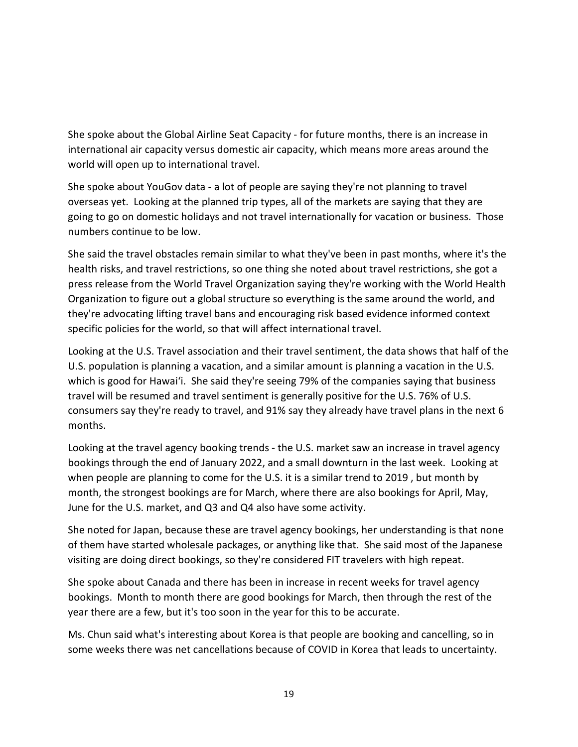She spoke about the Global Airline Seat Capacity - for future months, there is an increase in international air capacity versus domestic air capacity, which means more areas around the world will open up to international travel.

She spoke about YouGov data - a lot of people are saying they're not planning to travel overseas yet. Looking at the planned trip types, all of the markets are saying that they are going to go on domestic holidays and not travel internationally for vacation or business. Those numbers continue to be low.

She said the travel obstacles remain similar to what they've been in past months, where it's the health risks, and travel restrictions, so one thing she noted about travel restrictions, she got a press release from the World Travel Organization saying they're working with the World Health Organization to figure out a global structure so everything is the same around the world, and they're advocating lifting travel bans and encouraging risk based evidence informed context specific policies for the world, so that will affect international travel.

Looking at the U.S. Travel association and their travel sentiment, the data shows that half of the U.S. population is planning a vacation, and a similar amount is planning a vacation in the U.S. which is good for Hawai'i. She said they're seeing 79% of the companies saying that business travel will be resumed and travel sentiment is generally positive for the U.S. 76% of U.S. consumers say they're ready to travel, and 91% say they already have travel plans in the next 6 months.

Looking at the travel agency booking trends - the U.S. market saw an increase in travel agency bookings through the end of January 2022, and a small downturn in the last week. Looking at when people are planning to come for the U.S. it is a similar trend to 2019 , but month by month, the strongest bookings are for March, where there are also bookings for April, May, June for the U.S. market, and Q3 and Q4 also have some activity.

She noted for Japan, because these are travel agency bookings, her understanding is that none of them have started wholesale packages, or anything like that. She said most of the Japanese visiting are doing direct bookings, so they're considered FIT travelers with high repeat.

She spoke about Canada and there has been in increase in recent weeks for travel agency bookings. Month to month there are good bookings for March, then through the rest of the year there are a few, but it's too soon in the year for this to be accurate.

Ms. Chun said what's interesting about Korea is that people are booking and cancelling, so in some weeks there was net cancellations because of COVID in Korea that leads to uncertainty.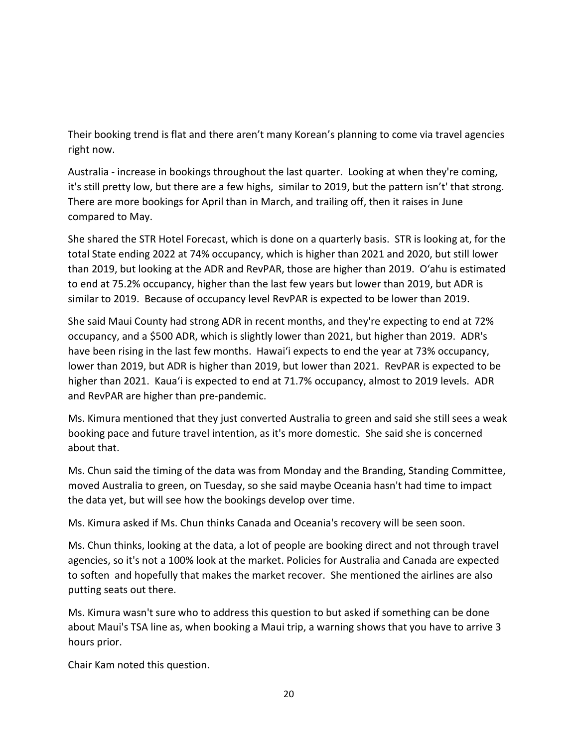Their booking trend is flat and there aren't many Korean's planning to come via travel agencies right now.

Australia - increase in bookings throughout the last quarter. Looking at when they're coming, it's still pretty low, but there are a few highs, similar to 2019, but the pattern isn't' that strong. There are more bookings for April than in March, and trailing off, then it raises in June compared to May.

She shared the STR Hotel Forecast, which is done on a quarterly basis. STR is looking at, for the total State ending 2022 at 74% occupancy, which is higher than 2021 and 2020, but still lower than 2019, but looking at the ADR and RevPAR, those are higher than 2019. O'ahu is estimated to end at 75.2% occupancy, higher than the last few years but lower than 2019, but ADR is similar to 2019. Because of occupancy level RevPAR is expected to be lower than 2019.

She said Maui County had strong ADR in recent months, and they're expecting to end at 72% occupancy, and a \$500 ADR, which is slightly lower than 2021, but higher than 2019. ADR's have been rising in the last few months. Hawai'i expects to end the year at 73% occupancy, lower than 2019, but ADR is higher than 2019, but lower than 2021. RevPAR is expected to be higher than 2021. Kaua'i is expected to end at 71.7% occupancy, almost to 2019 levels. ADR and RevPAR are higher than pre-pandemic.

Ms. Kimura mentioned that they just converted Australia to green and said she still sees a weak booking pace and future travel intention, as it's more domestic. She said she is concerned about that.

Ms. Chun said the timing of the data was from Monday and the Branding, Standing Committee, moved Australia to green, on Tuesday, so she said maybe Oceania hasn't had time to impact the data yet, but will see how the bookings develop over time.

Ms. Kimura asked if Ms. Chun thinks Canada and Oceania's recovery will be seen soon.

Ms. Chun thinks, looking at the data, a lot of people are booking direct and not through travel agencies, so it's not a 100% look at the market. Policies for Australia and Canada are expected to soften and hopefully that makes the market recover. She mentioned the airlines are also putting seats out there.

Ms. Kimura wasn't sure who to address this question to but asked if something can be done about Maui's TSA line as, when booking a Maui trip, a warning shows that you have to arrive 3 hours prior.

Chair Kam noted this question.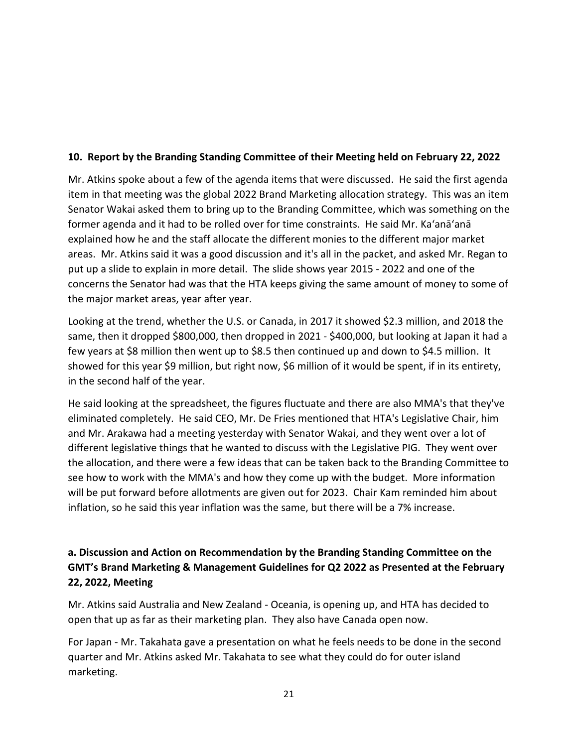### **10. Report by the Branding Standing Committee of their Meeting held on February 22, 2022**

Mr. Atkins spoke about a few of the agenda items that were discussed. He said the first agenda item in that meeting was the global 2022 Brand Marketing allocation strategy. This was an item Senator Wakai asked them to bring up to the Branding Committee, which was something on the former agenda and it had to be rolled over for time constraints. He said Mr. Ka'anā'anā explained how he and the staff allocate the different monies to the different major market areas. Mr. Atkins said it was a good discussion and it's all in the packet, and asked Mr. Regan to put up a slide to explain in more detail. The slide shows year 2015 - 2022 and one of the concerns the Senator had was that the HTA keeps giving the same amount of money to some of the major market areas, year after year.

Looking at the trend, whether the U.S. or Canada, in 2017 it showed \$2.3 million, and 2018 the same, then it dropped \$800,000, then dropped in 2021 - \$400,000, but looking at Japan it had a few years at \$8 million then went up to \$8.5 then continued up and down to \$4.5 million. It showed for this year \$9 million, but right now, \$6 million of it would be spent, if in its entirety, in the second half of the year.

He said looking at the spreadsheet, the figures fluctuate and there are also MMA's that they've eliminated completely. He said CEO, Mr. De Fries mentioned that HTA's Legislative Chair, him and Mr. Arakawa had a meeting yesterday with Senator Wakai, and they went over a lot of different legislative things that he wanted to discuss with the Legislative PIG. They went over the allocation, and there were a few ideas that can be taken back to the Branding Committee to see how to work with the MMA's and how they come up with the budget. More information will be put forward before allotments are given out for 2023. Chair Kam reminded him about inflation, so he said this year inflation was the same, but there will be a 7% increase.

# **a. Discussion and Action on Recommendation by the Branding Standing Committee on the GMT's Brand Marketing & Management Guidelines for Q2 2022 as Presented at the February 22, 2022, Meeting**

Mr. Atkins said Australia and New Zealand - Oceania, is opening up, and HTA has decided to open that up as far as their marketing plan. They also have Canada open now.

For Japan - Mr. Takahata gave a presentation on what he feels needs to be done in the second quarter and Mr. Atkins asked Mr. Takahata to see what they could do for outer island marketing.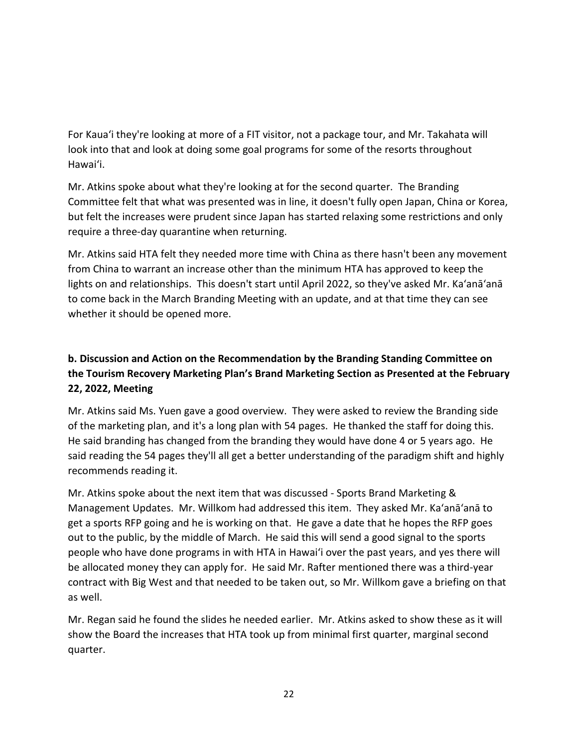For Kaua'i they're looking at more of a FIT visitor, not a package tour, and Mr. Takahata will look into that and look at doing some goal programs for some of the resorts throughout Hawai'i.

Mr. Atkins spoke about what they're looking at for the second quarter. The Branding Committee felt that what was presented was in line, it doesn't fully open Japan, China or Korea, but felt the increases were prudent since Japan has started relaxing some restrictions and only require a three-day quarantine when returning.

Mr. Atkins said HTA felt they needed more time with China as there hasn't been any movement from China to warrant an increase other than the minimum HTA has approved to keep the lights on and relationships. This doesn't start until April 2022, so they've asked Mr. Ka'anā'anā to come back in the March Branding Meeting with an update, and at that time they can see whether it should be opened more.

# **b. Discussion and Action on the Recommendation by the Branding Standing Committee on the Tourism Recovery Marketing Plan's Brand Marketing Section as Presented at the February 22, 2022, Meeting**

Mr. Atkins said Ms. Yuen gave a good overview. They were asked to review the Branding side of the marketing plan, and it's a long plan with 54 pages. He thanked the staff for doing this. He said branding has changed from the branding they would have done 4 or 5 years ago. He said reading the 54 pages they'll all get a better understanding of the paradigm shift and highly recommends reading it.

Mr. Atkins spoke about the next item that was discussed - Sports Brand Marketing & Management Updates. Mr. Willkom had addressed this item. They asked Mr. Ka'anā'anā to get a sports RFP going and he is working on that. He gave a date that he hopes the RFP goes out to the public, by the middle of March. He said this will send a good signal to the sports people who have done programs in with HTA in Hawai'i over the past years, and yes there will be allocated money they can apply for. He said Mr. Rafter mentioned there was a third-year contract with Big West and that needed to be taken out, so Mr. Willkom gave a briefing on that as well.

Mr. Regan said he found the slides he needed earlier. Mr. Atkins asked to show these as it will show the Board the increases that HTA took up from minimal first quarter, marginal second quarter.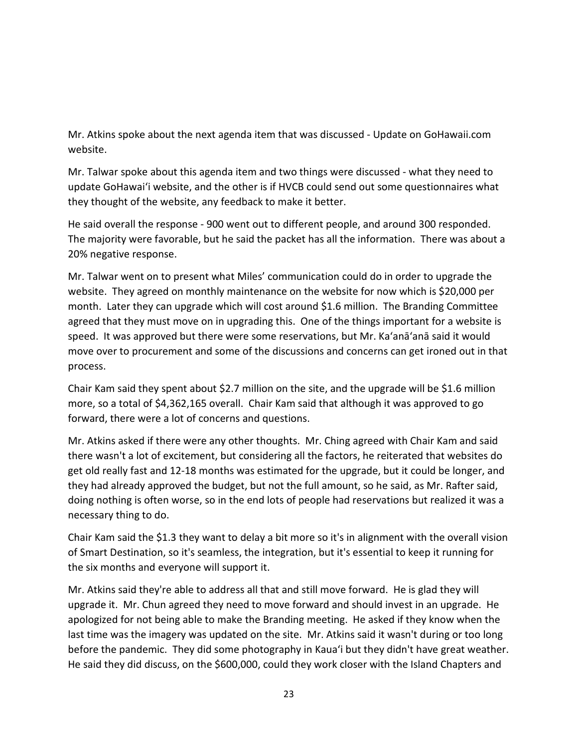Mr. Atkins spoke about the next agenda item that was discussed - Update on GoHawaii.com website.

Mr. Talwar spoke about this agenda item and two things were discussed - what they need to update GoHawai'i website, and the other is if HVCB could send out some questionnaires what they thought of the website, any feedback to make it better.

He said overall the response - 900 went out to different people, and around 300 responded. The majority were favorable, but he said the packet has all the information. There was about a 20% negative response.

Mr. Talwar went on to present what Miles' communication could do in order to upgrade the website. They agreed on monthly maintenance on the website for now which is \$20,000 per month. Later they can upgrade which will cost around \$1.6 million. The Branding Committee agreed that they must move on in upgrading this. One of the things important for a website is speed. It was approved but there were some reservations, but Mr. Ka'anā'anā said it would move over to procurement and some of the discussions and concerns can get ironed out in that process.

Chair Kam said they spent about \$2.7 million on the site, and the upgrade will be \$1.6 million more, so a total of \$4,362,165 overall. Chair Kam said that although it was approved to go forward, there were a lot of concerns and questions.

Mr. Atkins asked if there were any other thoughts. Mr. Ching agreed with Chair Kam and said there wasn't a lot of excitement, but considering all the factors, he reiterated that websites do get old really fast and 12-18 months was estimated for the upgrade, but it could be longer, and they had already approved the budget, but not the full amount, so he said, as Mr. Rafter said, doing nothing is often worse, so in the end lots of people had reservations but realized it was a necessary thing to do.

Chair Kam said the \$1.3 they want to delay a bit more so it's in alignment with the overall vision of Smart Destination, so it's seamless, the integration, but it's essential to keep it running for the six months and everyone will support it.

Mr. Atkins said they're able to address all that and still move forward. He is glad they will upgrade it. Mr. Chun agreed they need to move forward and should invest in an upgrade. He apologized for not being able to make the Branding meeting. He asked if they know when the last time was the imagery was updated on the site. Mr. Atkins said it wasn't during or too long before the pandemic. They did some photography in Kaua'i but they didn't have great weather. He said they did discuss, on the \$600,000, could they work closer with the Island Chapters and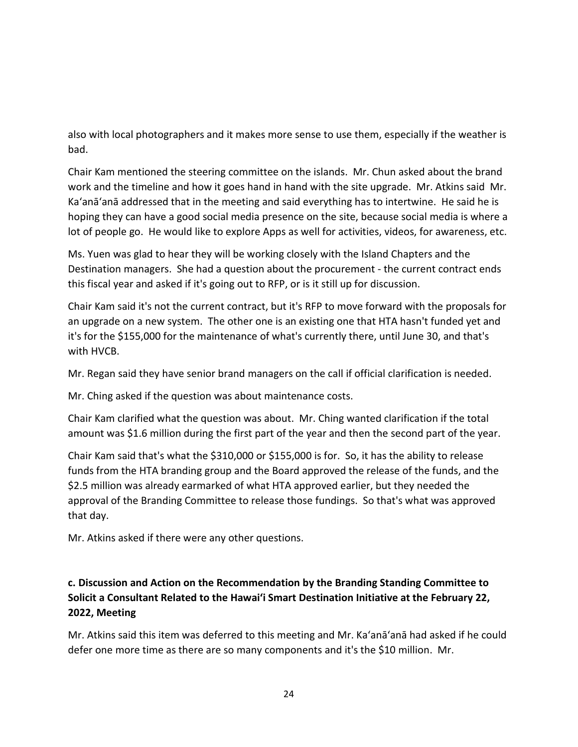also with local photographers and it makes more sense to use them, especially if the weather is bad.

Chair Kam mentioned the steering committee on the islands. Mr. Chun asked about the brand work and the timeline and how it goes hand in hand with the site upgrade. Mr. Atkins said Mr. Ka'anā'anā addressed that in the meeting and said everything has to intertwine. He said he is hoping they can have a good social media presence on the site, because social media is where a lot of people go. He would like to explore Apps as well for activities, videos, for awareness, etc.

Ms. Yuen was glad to hear they will be working closely with the Island Chapters and the Destination managers. She had a question about the procurement - the current contract ends this fiscal year and asked if it's going out to RFP, or is it still up for discussion.

Chair Kam said it's not the current contract, but it's RFP to move forward with the proposals for an upgrade on a new system. The other one is an existing one that HTA hasn't funded yet and it's for the \$155,000 for the maintenance of what's currently there, until June 30, and that's with HVCB.

Mr. Regan said they have senior brand managers on the call if official clarification is needed.

Mr. Ching asked if the question was about maintenance costs.

Chair Kam clarified what the question was about. Mr. Ching wanted clarification if the total amount was \$1.6 million during the first part of the year and then the second part of the year.

Chair Kam said that's what the \$310,000 or \$155,000 is for. So, it has the ability to release funds from the HTA branding group and the Board approved the release of the funds, and the \$2.5 million was already earmarked of what HTA approved earlier, but they needed the approval of the Branding Committee to release those fundings. So that's what was approved that day.

Mr. Atkins asked if there were any other questions.

## **c. Discussion and Action on the Recommendation by the Branding Standing Committee to Solicit a Consultant Related to the Hawai'i Smart Destination Initiative at the February 22, 2022, Meeting**

Mr. Atkins said this item was deferred to this meeting and Mr. Ka'anā'anā had asked if he could defer one more time as there are so many components and it's the \$10 million. Mr.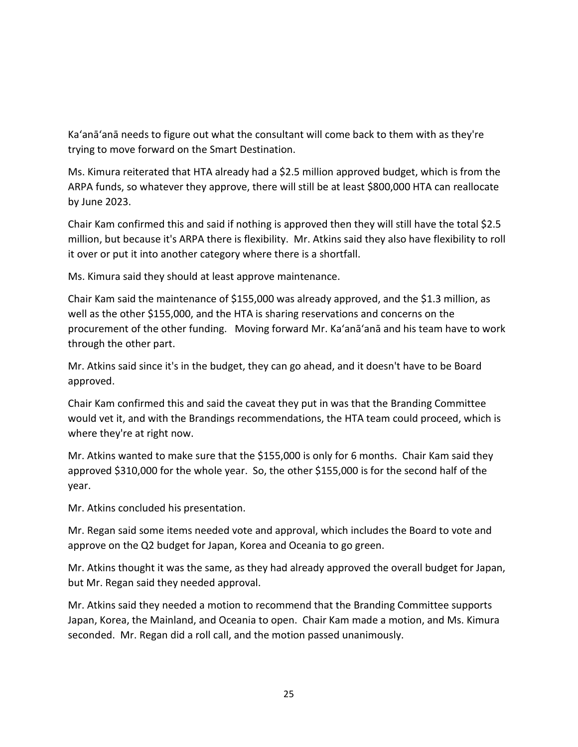Ka'anā'anā needs to figure out what the consultant will come back to them with as they're trying to move forward on the Smart Destination.

Ms. Kimura reiterated that HTA already had a \$2.5 million approved budget, which is from the ARPA funds, so whatever they approve, there will still be at least \$800,000 HTA can reallocate by June 2023.

Chair Kam confirmed this and said if nothing is approved then they will still have the total \$2.5 million, but because it's ARPA there is flexibility. Mr. Atkins said they also have flexibility to roll it over or put it into another category where there is a shortfall.

Ms. Kimura said they should at least approve maintenance.

Chair Kam said the maintenance of \$155,000 was already approved, and the \$1.3 million, as well as the other \$155,000, and the HTA is sharing reservations and concerns on the procurement of the other funding. Moving forward Mr. Ka'anā'anā and his team have to work through the other part.

Mr. Atkins said since it's in the budget, they can go ahead, and it doesn't have to be Board approved.

Chair Kam confirmed this and said the caveat they put in was that the Branding Committee would vet it, and with the Brandings recommendations, the HTA team could proceed, which is where they're at right now.

Mr. Atkins wanted to make sure that the \$155,000 is only for 6 months. Chair Kam said they approved \$310,000 for the whole year. So, the other \$155,000 is for the second half of the year.

Mr. Atkins concluded his presentation.

Mr. Regan said some items needed vote and approval, which includes the Board to vote and approve on the Q2 budget for Japan, Korea and Oceania to go green.

Mr. Atkins thought it was the same, as they had already approved the overall budget for Japan, but Mr. Regan said they needed approval.

Mr. Atkins said they needed a motion to recommend that the Branding Committee supports Japan, Korea, the Mainland, and Oceania to open. Chair Kam made a motion, and Ms. Kimura seconded. Mr. Regan did a roll call, and the motion passed unanimously.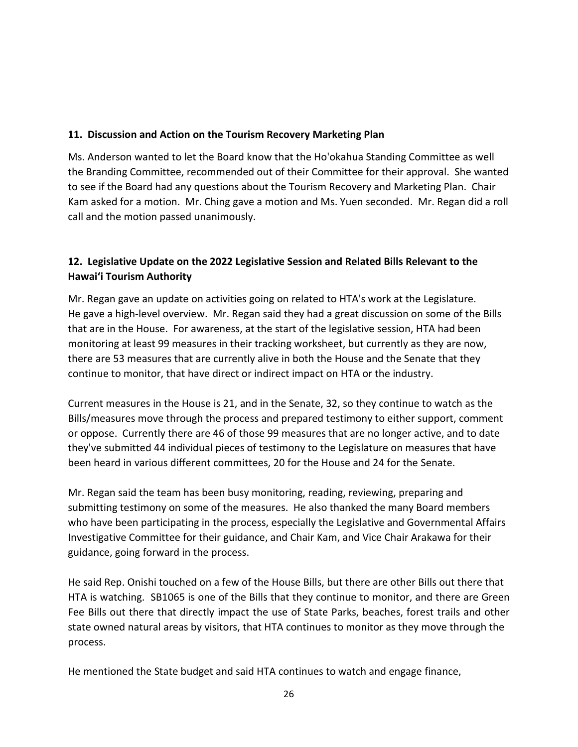### **11. Discussion and Action on the Tourism Recovery Marketing Plan**

Ms. Anderson wanted to let the Board know that the Ho'okahua Standing Committee as well the Branding Committee, recommended out of their Committee for their approval. She wanted to see if the Board had any questions about the Tourism Recovery and Marketing Plan. Chair Kam asked for a motion. Mr. Ching gave a motion and Ms. Yuen seconded. Mr. Regan did a roll call and the motion passed unanimously.

### **12. Legislative Update on the 2022 Legislative Session and Related Bills Relevant to the Hawaiʻi Tourism Authority**

Mr. Regan gave an update on activities going on related to HTA's work at the Legislature. He gave a high-level overview. Mr. Regan said they had a great discussion on some of the Bills that are in the House. For awareness, at the start of the legislative session, HTA had been monitoring at least 99 measures in their tracking worksheet, but currently as they are now, there are 53 measures that are currently alive in both the House and the Senate that they continue to monitor, that have direct or indirect impact on HTA or the industry.

Current measures in the House is 21, and in the Senate, 32, so they continue to watch as the Bills/measures move through the process and prepared testimony to either support, comment or oppose. Currently there are 46 of those 99 measures that are no longer active, and to date they've submitted 44 individual pieces of testimony to the Legislature on measures that have been heard in various different committees, 20 for the House and 24 for the Senate.

Mr. Regan said the team has been busy monitoring, reading, reviewing, preparing and submitting testimony on some of the measures. He also thanked the many Board members who have been participating in the process, especially the Legislative and Governmental Affairs Investigative Committee for their guidance, and Chair Kam, and Vice Chair Arakawa for their guidance, going forward in the process.

He said Rep. Onishi touched on a few of the House Bills, but there are other Bills out there that HTA is watching. SB1065 is one of the Bills that they continue to monitor, and there are Green Fee Bills out there that directly impact the use of State Parks, beaches, forest trails and other state owned natural areas by visitors, that HTA continues to monitor as they move through the process.

He mentioned the State budget and said HTA continues to watch and engage finance,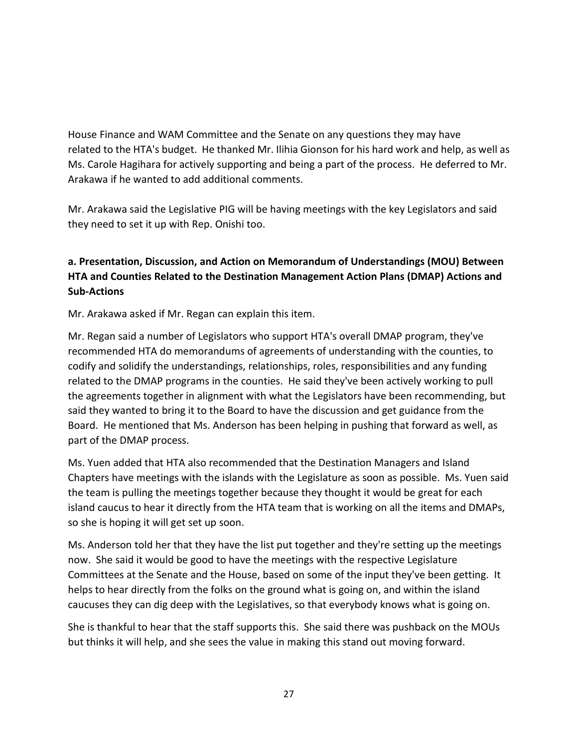House Finance and WAM Committee and the Senate on any questions they may have related to the HTA's budget. He thanked Mr. Ilihia Gionson for his hard work and help, as well as Ms. Carole Hagihara for actively supporting and being a part of the process. He deferred to Mr. Arakawa if he wanted to add additional comments.

Mr. Arakawa said the Legislative PIG will be having meetings with the key Legislators and said they need to set it up with Rep. Onishi too.

## **a. Presentation, Discussion, and Action on Memorandum of Understandings (MOU) Between HTA and Counties Related to the Destination Management Action Plans (DMAP) Actions and Sub-Actions**

Mr. Arakawa asked if Mr. Regan can explain this item.

Mr. Regan said a number of Legislators who support HTA's overall DMAP program, they've recommended HTA do memorandums of agreements of understanding with the counties, to codify and solidify the understandings, relationships, roles, responsibilities and any funding related to the DMAP programs in the counties. He said they've been actively working to pull the agreements together in alignment with what the Legislators have been recommending, but said they wanted to bring it to the Board to have the discussion and get guidance from the Board. He mentioned that Ms. Anderson has been helping in pushing that forward as well, as part of the DMAP process.

Ms. Yuen added that HTA also recommended that the Destination Managers and Island Chapters have meetings with the islands with the Legislature as soon as possible. Ms. Yuen said the team is pulling the meetings together because they thought it would be great for each island caucus to hear it directly from the HTA team that is working on all the items and DMAPs, so she is hoping it will get set up soon.

Ms. Anderson told her that they have the list put together and they're setting up the meetings now. She said it would be good to have the meetings with the respective Legislature Committees at the Senate and the House, based on some of the input they've been getting. It helps to hear directly from the folks on the ground what is going on, and within the island caucuses they can dig deep with the Legislatives, so that everybody knows what is going on.

She is thankful to hear that the staff supports this. She said there was pushback on the MOUs but thinks it will help, and she sees the value in making this stand out moving forward.